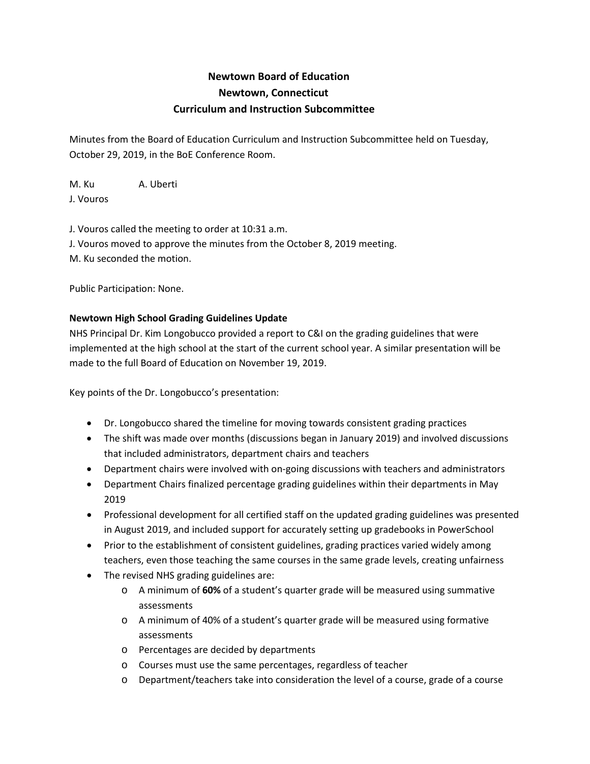## **Newtown Board of Education Newtown, Connecticut Curriculum and Instruction Subcommittee**

Minutes from the Board of Education Curriculum and Instruction Subcommittee held on Tuesday, October 29, 2019, in the BoE Conference Room.

M. Ku A. Uberti J. Vouros

J. Vouros called the meeting to order at 10:31 a.m. J. Vouros moved to approve the minutes from the October 8, 2019 meeting. M. Ku seconded the motion.

Public Participation: None.

## **Newtown High School Grading Guidelines Update**

NHS Principal Dr. Kim Longobucco provided a report to C&I on the grading guidelines that were implemented at the high school at the start of the current school year. A similar presentation will be made to the full Board of Education on November 19, 2019.

Key points of the Dr. Longobucco's presentation:

- Dr. Longobucco shared the timeline for moving towards consistent grading practices
- The shift was made over months (discussions began in January 2019) and involved discussions that included administrators, department chairs and teachers
- Department chairs were involved with on-going discussions with teachers and administrators
- Department Chairs finalized percentage grading guidelines within their departments in May 2019
- Professional development for all certified staff on the updated grading guidelines was presented in August 2019, and included support for accurately setting up gradebooks in PowerSchool
- Prior to the establishment of consistent guidelines, grading practices varied widely among teachers, even those teaching the same courses in the same grade levels, creating unfairness
- The revised NHS grading guidelines are:
	- o A minimum of **60%** of a student's quarter grade will be measured using summative assessments
	- o A minimum of 40% of a student's quarter grade will be measured using formative assessments
	- o Percentages are decided by departments
	- o Courses must use the same percentages, regardless of teacher
	- o Department/teachers take into consideration the level of a course, grade of a course